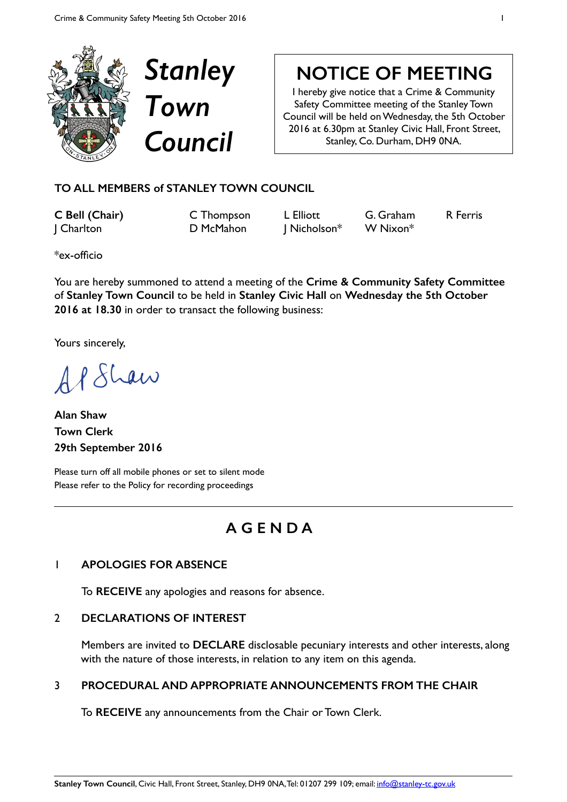



# **NOTICE OF MEETING**

I hereby give notice that a Crime & Community Safety Committee meeting of the Stanley Town Council will be held on Wednesday, the 5th October 2016 at 6.30pm at Stanley Civic Hall, Front Street, Stanley, Co. Durham, DH9 0NA.

### **TO ALL MEMBERS of STANLEY TOWN COUNCIL**

**C Bell (Chair)** C Thompson L Elliott G. Graham R Ferris J Charlton D McMahon J Nicholson\* W Nixon\*

\*ex-officio

You are hereby summoned to attend a meeting of the **Crime & Community Safety Committee**  of **Stanley Town Council** to be held in **Stanley Civic Hall** on **Wednesday the 5th October 2016 at 18.30** in order to transact the following business:

Yours sincerely,

AP Shaw

**Alan Shaw Town Clerk 29th September 2016** 

Please turn off all mobile phones or set to silent mode Please refer to the Policy for recording proceedings

## **A G E N D A**

#### 1 **APOLOGIES FOR ABSENCE**

To **RECEIVE** any apologies and reasons for absence.

#### 2 **DECLARATIONS OF INTEREST**

Members are invited to **DECLARE** disclosable pecuniary interests and other interests, along with the nature of those interests, in relation to any item on this agenda.

#### 3 **PROCEDURAL AND APPROPRIATE ANNOUNCEMENTS FROM THE CHAIR**

To **RECEIVE** any announcements from the Chair or Town Clerk.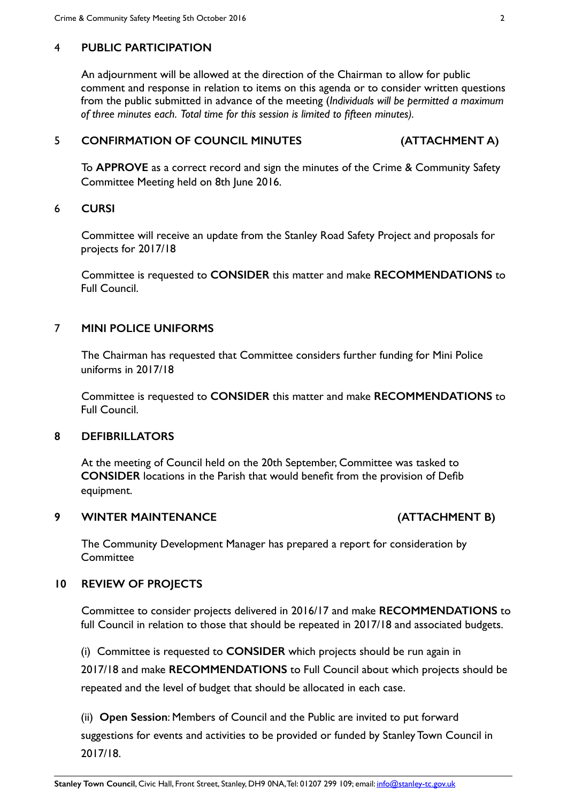#### 4 **PUBLIC PARTICIPATION**

An adjournment will be allowed at the direction of the Chairman to allow for public comment and response in relation to items on this agenda or to consider written questions from the public submitted in advance of the meeting (*Individuals will be permitted a maximum of three minutes each. Total time for this session is limited to fifteen minutes).*

#### 5 **CONFIRMATION OF COUNCIL MINUTES (ATTACHMENT A)**

To **APPROVE** as a correct record and sign the minutes of the Crime & Community Safety Committee Meeting held on 8th June 2016.

#### 6 **CURSI**

Committee will receive an update from the Stanley Road Safety Project and proposals for projects for 2017/18

Committee is requested to **CONSIDER** this matter and make **RECOMMENDATIONS** to Full Council.

#### 7 **MINI POLICE UNIFORMS**

The Chairman has requested that Committee considers further funding for Mini Police uniforms in 2017/18

Committee is requested to **CONSIDER** this matter and make **RECOMMENDATIONS** to Full Council.

#### **8 DEFIBRILLATORS**

At the meeting of Council held on the 20th September, Committee was tasked to **CONSIDER** locations in the Parish that would benefit from the provision of Defib equipment.

#### **9 WINTER MAINTENANCE (ATTACHMENT B)**

The Community Development Manager has prepared a report for consideration by Committee

#### **10 REVIEW OF PROJECTS**

Committee to consider projects delivered in 2016/17 and make **RECOMMENDATIONS** to full Council in relation to those that should be repeated in 2017/18 and associated budgets.

(i) Committee is requested to **CONSIDER** which projects should be run again in 2017/18 and make **RECOMMENDATIONS** to Full Council about which projects should be repeated and the level of budget that should be allocated in each case.

(ii) **Open Session**: Members of Council and the Public are invited to put forward suggestions for events and activities to be provided or funded by Stanley Town Council in 2017/18.